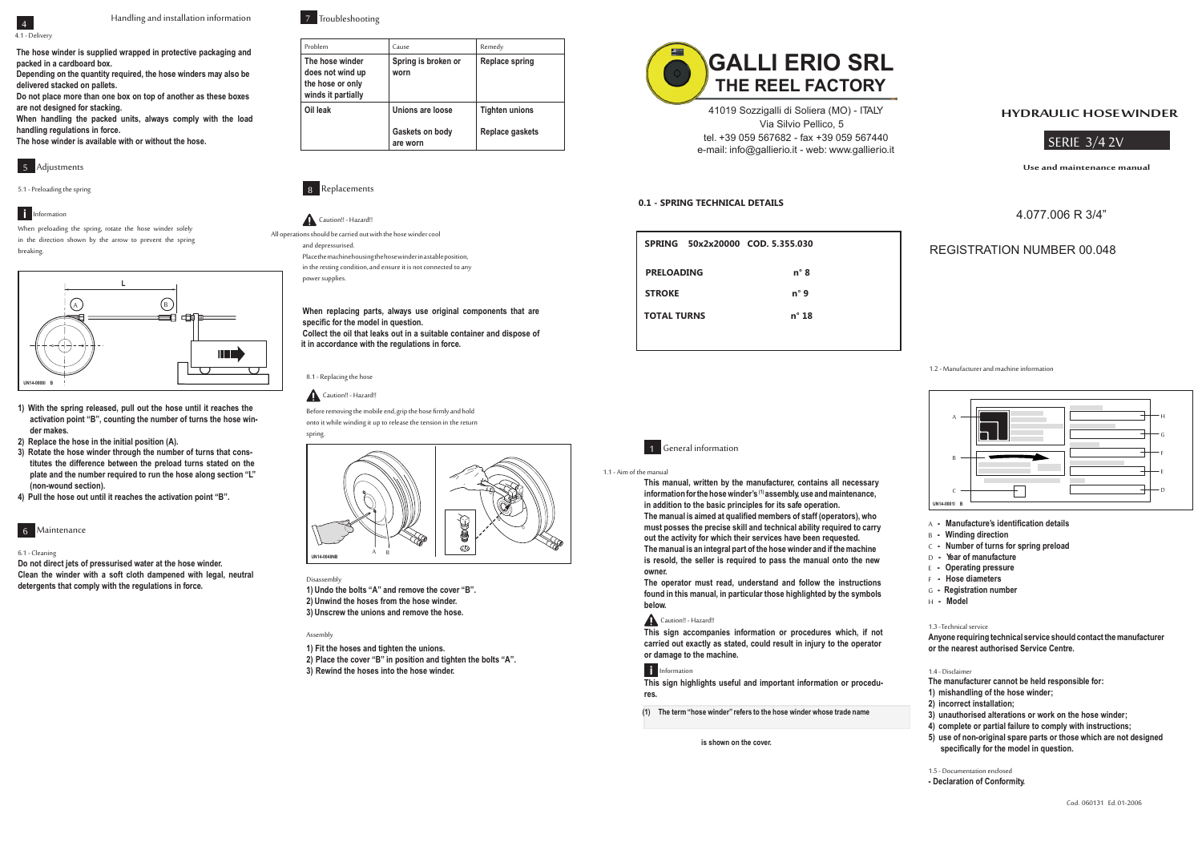# **HYDRAULIC HOSEWINDER**

**Useandmaintenancemanual**

SERIE 3/4 2V

# 4.077.006 R 3/4"



1.1 - Aim of the manual

**This manual, written by the manufacturer, contains all necessary**  information for the hose winder's <sup>(1)</sup> assembly, use and maintenance, **in addition to the basic principles for its safe operation.** The manual is aimed at qualified members of staff (operators), who **must posses the precise skill and technical ability required to carry out the activity for which their services have been requested.**

**The manual is an integral part of the hose winder and if the machine is resold, the seller is required to pass the manual onto the new owner.**

- A Manufacture's identification details
- B Winding direction
- C  **Number of turns for spring preload**
- D  **Year of manufacture**
- E  **Operating pressure**
- F  **Hose diameters**
- G  **Registration number**
- H  **Model**

**The operator must read, understand and follow the instructions found in this manual, in particular those highlighted by the symbols below.**

#### Caution!! - Hazard!!

- **1) mishandling of the hose winder;**
- **2) incorrect installation;**
- **3) unauthorised alterations or work on the hose winder;**
- **4) complete or partial failure to comply with instructions;**
- **5) use of non-original spare parts or those which are not designed**  specifically for the model in question.

**This sign accompanies information or procedures which, if not carried out exactly as stated, could result in injury to the operator or damage to the machine.**

# **I**II Information

**This sign highlights useful and important information or procedures.**

**(1) The term "hose winder" refers to the hose winder whose trade name** 

**is shown on the cover.**



#### 1.2 - Manufacturer and machine information

1.3 - Technical service

**Anyone requiring technical service should contact the manufacturer or the nearest authorised Service Centre.**

1.4 - Disclaimer

**The manufacturer cannot be held responsible for:**

1.5 - Documentation enclosed

**- Declaration of Conformity.**



Handling and installation information

4.1 - Delivery

**The hose winder is supplied wrapped in protective packaging and packed in a cardboard box.**

> Before removing the mobile end, grip the hose firmly and hold onto it while winding it up to release the tension in the return

**Depending on the quantity required, the hose winders may also be delivered stacked on pallets.**

**Do not place more than one box on top of another as these boxes are not designed for stacking.**

**When handling the packed units, always comply with the load handling regulations in force.**

**The hose winder is available with or without the hose.**





5.1 - Preloading the spring

## **Information**

When preloading the spring, rotate the hose winder solely in the direction shown by the arrow to prevent the spring breaking.

**1) With the spring released, pull out the hose until it reaches the activation point "B", counting the number of turns the hose winder makes.**

**2) Replace the hose in the initial position (A).**

**3) Rotate the hose winder through the number of turns that constitutes the difference between the preload turns stated on the plate and the number required to run the hose along section "L" (non-wound section).**

**4) Pull the hose out until it reaches the activation point "B".**



#### 6.1 - Cleaning

**Do not direct jets of pressurised water at the hose winder. Clean the winder with a soft cloth dampened with legal, neutral detergents that comply with the regulations in force.**



| Problem                                                                       | Cause                       | Remedy                |
|-------------------------------------------------------------------------------|-----------------------------|-----------------------|
| The hose winder<br>does not wind up<br>the hose or only<br>winds it partially | Spring is broken or<br>worn | Replace spring        |
| Oil leak                                                                      | Unions are loose            | <b>Tighten unions</b> |
|                                                                               | Gaskets on body<br>are worn | Replace gaskets       |



# Caution!! - Hazard!!

All operations should be carried out with the hose winder cool and depressurised. Place the machine housing the hose winder in a stable position, in the resting condition, and ensure it is not connected to any

power supplies.

**When replacing parts, always use original components that are**  specific for the model in question. **Collect the oil that leaks out in a suitable container and dispose of it in accordance with the regulations in force.**





spring.

8.1 - Replacing the hose

#### Disassembly

**1) Undo the bolts "A" and remove the cover "B". 2) Unwind the hoses from the hose winder. 3) Unscrew the unions and remove the hose.**

#### Assembly

**1) Fit the hoses and tighten the unions.**

**2) Place the cover "B" in position and tighten the bolts "A".**

**3) Rewind the hoses into the hose winder.**

# REGISTRATION NUMBER 00.048

# **GALLI ERIO SRL THE REEL FACTORY**

41019 Sozzigalli di Soliera (MO) - ITALY Via Silvio Pellico, 5 tel. +39 059 567682 - fax +39 059 567440 e-mail: info@gallierio.it - web: www.gallierio.it

## **0.1 - SPRING TECHNICAL DETAILS**

| SPRING 50x2x20000 COD. 5.355.030 |                |
|----------------------------------|----------------|
| <b>PRELOADING</b>                | n°8            |
| <b>STROKE</b>                    | $n^{\circ}$ 9  |
| <b>TOTAL TURNS</b>               | $n^{\circ}$ 18 |
|                                  |                |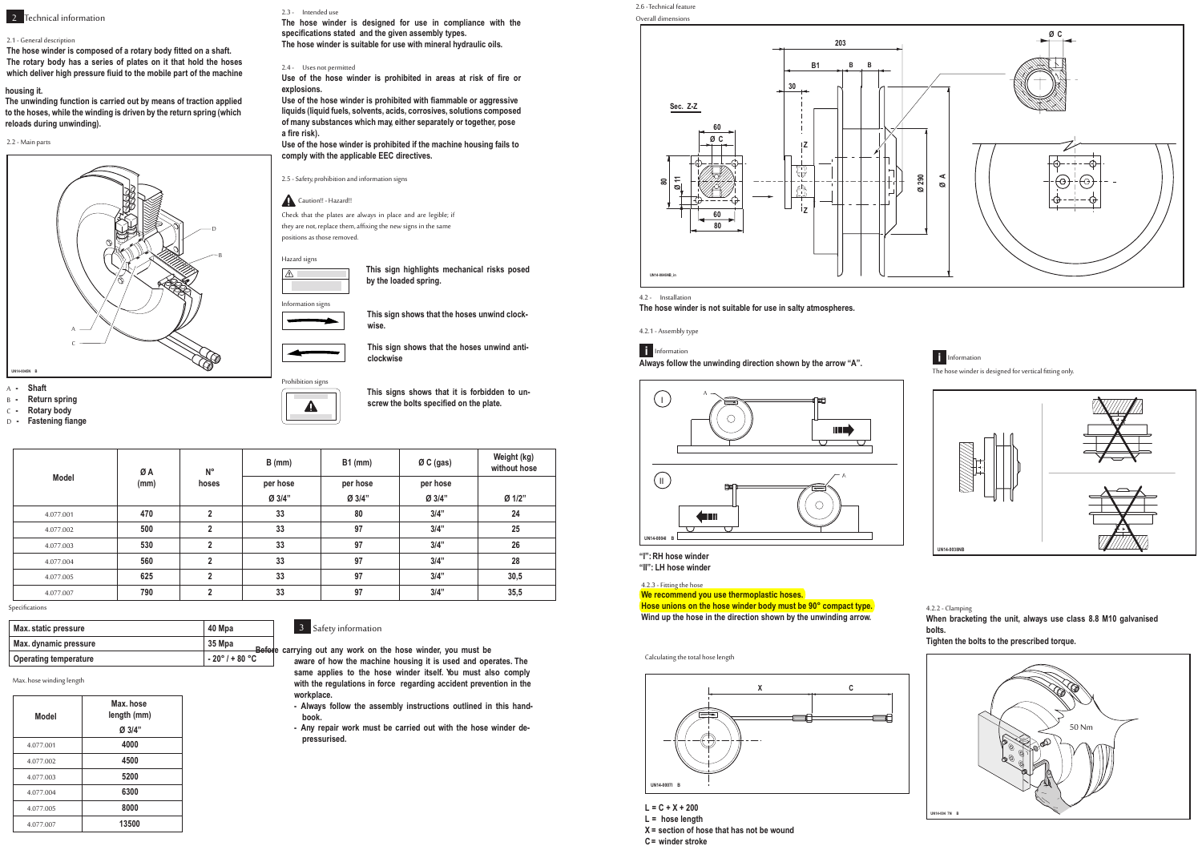2.6 -Technical feature Overall dimensions

| <b>Model</b> | ØA   | $N^{\circ}$  | $B$ (mm) | $B1$ (mm) | $ØC$ (gas) | Weight (kg)<br>without hose |
|--------------|------|--------------|----------|-----------|------------|-----------------------------|
|              | (mm) | hoses        | per hose | per hose  | per hose   |                             |
|              |      |              | Ø 3/4"   | Ø 3/4"    | Ø 3/4"     | Ø 1/2"                      |
| 4.077.001    | 470  | $\mathbf{2}$ | 33       | 80        | 3/4"       | 24                          |
| 4.077.002    | 500  | 2            | 33       | 97        | 3/4"       | 25                          |
| 4.077.003    | 530  | $\mathbf{2}$ | 33       | 97        | 3/4"       | 26                          |
| 4.077.004    | 560  | $\mathbf{2}$ | 33       | 97        | 3/4"       | 28                          |
| 4.077.005    | 625  | $\mathbf{2}$ | 33       | 97        | 3/4"       | 30,5                        |
| 4.077.007    | 790  | ŋ            | 33       | 97        | 3/4"       | 35,5                        |

Specifications



- <sup>B</sup> **- Return spring**
- 
- <sup>C</sup> **- Rotary body**
- **D Fastening** fiange

#### **housing it.**

**The unwinding function is carried out by means of traction applied to the hoses, while the winding is driven by the return spring (which reloads during unwinding).**

**Use of the hose winder is prohibited with ?ammable or aggressive liquids (liquid fuels, solvents, acids, corrosives, solutions composed of many substances which may, either separately or together, pose**  $a$  fire risk).

#### 2.2 -Main parts



# **2** Technical information

## 2.1 - General description

**The hose winder is composed of <sup>a</sup> rotary body ?tted on <sup>a</sup> shaft. The rotary body has <sup>a</sup> series of plates on it that hold the hoses which deliver high pressure ?uid to the mobile part of the machine**

> Check that the plates are always in place and are legible; if they are not, replace them, affixing the new signs in the same positions as those removed.

Hazard signs  $\sqrt{N}$ 



**This signs shows that it is forbidden to un** $s$  **screw** the bolts specified on the plate.

**The hose winder is designed for use in compliance with the speci?cations stated and the given assembly types. The hose winder is suitable for use with mineral hydraulic oils.**

#### 2.4 - Uses not permitted

**Use of the hose winder is prohibited in areas at risk of ?re or explosions.**

**Use of the hose winder is prohibited if the machine housing fails to comply with the applicable EEC directives.**

2.5 - Safety, prohibition and information signs

## Caution!! - Hazard!!

**This sign highlights mechanical risks posed by the loaded spring.**



**This sign shows that the hoses unwind clockwise.**

**This sign shows that the hoses unwind anticlockwise**

Prohibition signs

 $\blacktriangle$ 



| Max. static pressure  | 40 Mpa                            |  |
|-----------------------|-----------------------------------|--|
| Max. dynamic pressure | 35 Mpa<br>Before cari             |  |
| Operating temperature | $-20^{\circ}$ / + 80 $^{\circ}$ C |  |

Max. hose winding length

| Model     | Max. hose<br>length (mm) |
|-----------|--------------------------|
|           | Ø 3/4"                   |
| 4.077.001 | 4000                     |
| 4.077.002 | 4500                     |
| 4.077.003 | 5200                     |
| 4.077.004 | 6300                     |
| 4.077.005 | 8000                     |
| 4.077.007 | 13500                    |

## 3 Safety information

**Before carrying out any work on the hose winder, you must be aware of how the machine housing it is used and operates. The same applies to the hose winder itself. You must also comply with the regulations in force regarding accident prevention in the workplace.**

- **- Always follow the assembly instructions outlined in this handbook.**
- **- Any repair work must be carried out with the hose winder depressurised.**



**"I":RH hose winder**

**"II": LH hose winder**

#### 4.2.3 - Fitting the hose

#### 4.2 - Installation

**The hose winder is not suitable for use in salty atmospheres.**

4.2.1 - Assemblytype

# **Information**

**Always follow the unwinding direction shown by the arrow "A".**



Information

The hose winder is designed for vertical fitting only.



**L <sup>=</sup> C <sup>+</sup> X <sup>+</sup> 200**

**L <sup>=</sup> hose length**

**X <sup>=</sup> section of hose that has not be wound**

**C= winder stroke**

**We recommend you use thermoplastic hoses. Hose unions on the hose winder body must be 90° compact type. Wind up the hose in the direction shown by the unwinding arrow.**

Calculating the total hose length



4.2.2 - Clamping

**When bracketing the unit, always use class 8.8 M10 galvanised bolts.**

**Tighten the bolts to the prescribed torque.**